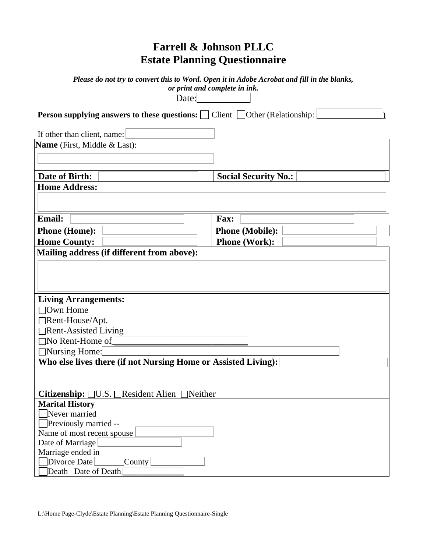## **Farrell & Johnson PLLC Estate Planning Questionnaire**

|                                                                                               | Please do not try to convert this to Word. Open it in Adobe Acrobat and fill in the blanks,<br>or print and complete in ink. |  |  |  |
|-----------------------------------------------------------------------------------------------|------------------------------------------------------------------------------------------------------------------------------|--|--|--|
| Date:                                                                                         |                                                                                                                              |  |  |  |
| <b>Person supplying answers to these questions:</b> $\Box$ Client $\Box$ Other (Relationship: |                                                                                                                              |  |  |  |
| If other than client, name:                                                                   |                                                                                                                              |  |  |  |
| Name (First, Middle & Last):                                                                  |                                                                                                                              |  |  |  |
|                                                                                               |                                                                                                                              |  |  |  |
|                                                                                               |                                                                                                                              |  |  |  |
| Date of Birth:                                                                                | <b>Social Security No.:</b>                                                                                                  |  |  |  |
| <b>Home Address:</b>                                                                          |                                                                                                                              |  |  |  |
|                                                                                               |                                                                                                                              |  |  |  |
|                                                                                               |                                                                                                                              |  |  |  |
| <b>Email:</b>                                                                                 | Fax:                                                                                                                         |  |  |  |
| <b>Phone (Home):</b>                                                                          | <b>Phone (Mobile):</b>                                                                                                       |  |  |  |
| <b>Home County:</b>                                                                           | <b>Phone (Work):</b>                                                                                                         |  |  |  |
| Mailing address (if different from above):                                                    |                                                                                                                              |  |  |  |
|                                                                                               |                                                                                                                              |  |  |  |
|                                                                                               |                                                                                                                              |  |  |  |
|                                                                                               |                                                                                                                              |  |  |  |
|                                                                                               |                                                                                                                              |  |  |  |
| <b>Living Arrangements:</b><br>$\Box$ Own Home                                                |                                                                                                                              |  |  |  |
|                                                                                               |                                                                                                                              |  |  |  |
| $\Box$ Rent-House/Apt.                                                                        |                                                                                                                              |  |  |  |
| $\Box$ Rent-Assisted Living<br>$\Box$ No Rent-Home of                                         |                                                                                                                              |  |  |  |
| $\Box$ Nursing Home:                                                                          |                                                                                                                              |  |  |  |
| Who else lives there (if not Nursing Home or Assisted Living):                                |                                                                                                                              |  |  |  |
|                                                                                               |                                                                                                                              |  |  |  |
|                                                                                               |                                                                                                                              |  |  |  |
| Citizenship: □U.S. □Resident Alien □Neither                                                   |                                                                                                                              |  |  |  |
| <b>Marital History</b>                                                                        |                                                                                                                              |  |  |  |
| $\Box$ Never married                                                                          |                                                                                                                              |  |  |  |
| $\Box$ Previously married --                                                                  |                                                                                                                              |  |  |  |
| Name of most recent spouse                                                                    |                                                                                                                              |  |  |  |
| Date of Marriage                                                                              |                                                                                                                              |  |  |  |
| Marriage ended in                                                                             |                                                                                                                              |  |  |  |
| Divorce Date<br>County                                                                        |                                                                                                                              |  |  |  |
| Death Date of Death                                                                           |                                                                                                                              |  |  |  |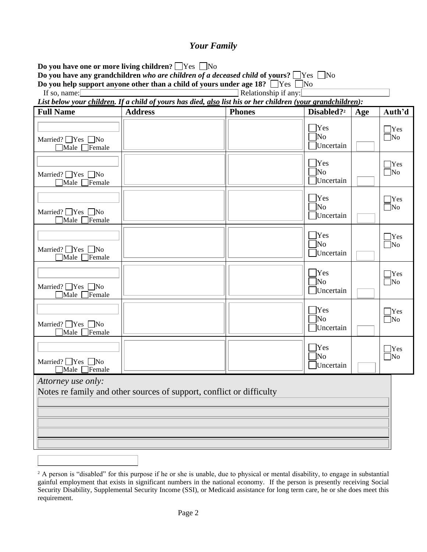#### *Your Family*

| Do you have one or more living children? $\Box$ Yes $\Box$ No<br>Do you have any grandchildren who are children of a deceased child of yours? $\Box$ Yes $\Box$ No<br>Do you help support anyone other than a child of yours under age 18? $\Box$ Yes $\Box$ No |                                                                                                             |               |                                             |     |                            |
|-----------------------------------------------------------------------------------------------------------------------------------------------------------------------------------------------------------------------------------------------------------------|-------------------------------------------------------------------------------------------------------------|---------------|---------------------------------------------|-----|----------------------------|
| Relationship if any:<br>If so, name: $\Box$                                                                                                                                                                                                                     |                                                                                                             |               |                                             |     |                            |
|                                                                                                                                                                                                                                                                 | List below your children. If a child of yours has died, also list his or her children (your grandchildren): |               |                                             |     |                            |
| <b>Full Name</b>                                                                                                                                                                                                                                                | <b>Address</b>                                                                                              | <b>Phones</b> | Disabled? <sup>2</sup>                      | Age | Auth'd                     |
| Married? $\Box$ Yes $\Box$ No<br>$\Box$ Male $\Box$ Female                                                                                                                                                                                                      |                                                                                                             |               | $\Box$ Yes<br>1No<br>Uncertain              |     | $\Box$ Yes<br>$\square$ No |
| Married? $\Box$ Yes $\Box$ No<br>$\Box$ Male $\Box$<br>Female                                                                                                                                                                                                   |                                                                                                             |               | $\square$ Yes<br>$\exists$ No<br>Uncertain  |     | $\Box$ Yes<br>$\square$ No |
| Married? $\Box$ Yes $\Box$ No<br>$\Box$ Male<br><b>Temale</b>                                                                                                                                                                                                   |                                                                                                             |               | $\Box$ Yes<br>$\exists$ No<br>Uncertain     |     | $\Box$ Yes<br>$\square$ No |
| Married? ■ Yes ■ No<br>$\Box$ Male $\Box$<br>$\exists$ Female                                                                                                                                                                                                   |                                                                                                             |               | $\Box$ Yes<br>$\exists$ No<br>Uncertain     |     | $\Box$ Yes<br>$\Box$ No    |
| Married? $\Box$ Yes $\Box$ No<br>$\Box$ Male<br>$\Box$ Female                                                                                                                                                                                                   |                                                                                                             |               | $\exists$ Yes<br>$\exists$ No<br>Uncertain  |     | $\Box$ Yes<br>$\square$ No |
| Married? $\Box$ Yes $\Box$ No<br>$\Box$ Male $\Box$ Female                                                                                                                                                                                                      |                                                                                                             |               | $\exists$ Yes<br>]No<br>Uncertain           |     | $\Box$ Yes<br>$\square$ No |
| Married? $\Box$ Yes $\Box$ No<br>$\Box$ Male $\Box$ Female                                                                                                                                                                                                      |                                                                                                             |               | $\Box$ Yes<br>$\Box$ No<br>$\Box$ Uncertain |     | $\Box$ Yes<br>$\square$ No |
| Attorney use only:                                                                                                                                                                                                                                              | Notes re family and other sources of support, conflict or difficulty                                        |               |                                             |     |                            |

<sup>&</sup>lt;sup>2</sup> A person is "disabled" for this purpose if he or she is unable, due to physical or mental disability, to engage in substantial gainful employment that exists in significant numbers in the national economy. If the person is presently receiving Social Security Disability, Supplemental Security Income (SSI), or Medicaid assistance for long term care, he or she does meet this requirement.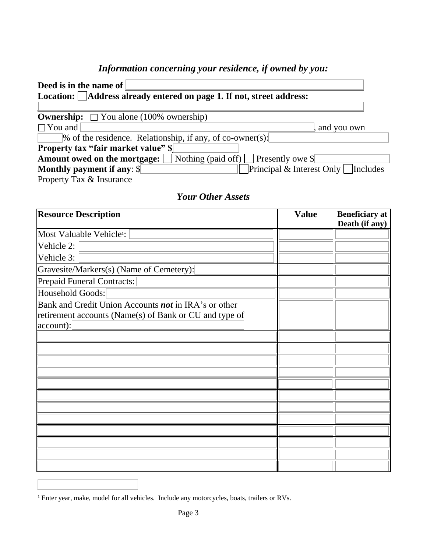## *Information concerning your residence, if owned by you:*

| Deed is in the name of $\vert$                                                              |             |
|---------------------------------------------------------------------------------------------|-------------|
| Location: Address already entered on page 1. If not, street address:                        |             |
| <b>Ownership:</b> $\Box$ You alone (100% ownership)                                         |             |
| $\Box$ You and                                                                              | and you own |
| % of the residence. Relationship, if any, of co-owner(s):                                   |             |
| <b>Property tax "fair market value" \$</b>                                                  |             |
| <b>Amount owed on the mortgage:</b> $\Box$ Nothing (paid off) $\Box$ Presently owe $\$\Box$ |             |
| Principal & Interest Only $\Box$ Includes<br><b>Monthly payment if any: \$</b>              |             |
| Property Tax & Insurance                                                                    |             |

### *Your Other Assets*

| <b>Resource Description</b>                            | <b>Value</b> | <b>Beneficiary</b> at<br>Death (if any) |
|--------------------------------------------------------|--------------|-----------------------------------------|
| Most Valuable Vehicle <sup>1</sup> :                   |              |                                         |
| Vehicle 2:                                             |              |                                         |
| Vehicle 3:                                             |              |                                         |
| Gravesite/Markers(s) (Name of Cemetery):               |              |                                         |
| <b>Prepaid Funeral Contracts:</b>                      |              |                                         |
| Household Goods:                                       |              |                                         |
| Bank and Credit Union Accounts not in IRA's or other   |              |                                         |
| retirement accounts (Name(s) of Bank or CU and type of |              |                                         |
| $account)$ :                                           |              |                                         |
|                                                        |              |                                         |
|                                                        |              |                                         |
|                                                        |              |                                         |
|                                                        |              |                                         |
|                                                        |              |                                         |
|                                                        |              |                                         |
|                                                        |              |                                         |
|                                                        |              |                                         |
|                                                        |              |                                         |
|                                                        |              |                                         |
|                                                        |              |                                         |
|                                                        |              |                                         |

<sup>&</sup>lt;sup>1</sup> Enter year, make, model for all vehicles. Include any motorcycles, boats, trailers or RVs.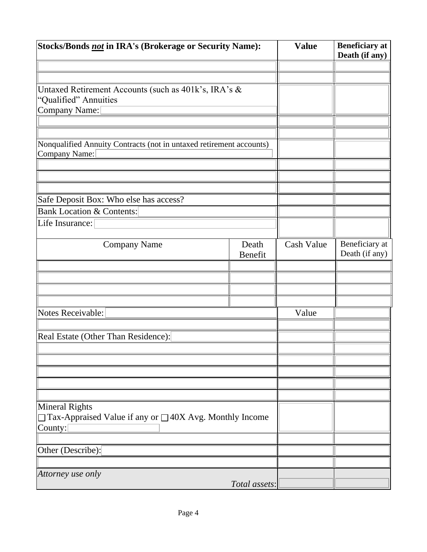| Stocks/Bonds not in IRA's (Brokerage or Security Name):                                     |                  | <b>Value</b> | <b>Beneficiary</b> at<br>Death (if any) |
|---------------------------------------------------------------------------------------------|------------------|--------------|-----------------------------------------|
|                                                                                             |                  |              |                                         |
|                                                                                             |                  |              |                                         |
| Untaxed Retirement Accounts (such as 401k's, IRA's &<br>"Qualified" Annuities               |                  |              |                                         |
| Company Name:                                                                               |                  |              |                                         |
|                                                                                             |                  |              |                                         |
|                                                                                             |                  |              |                                         |
| Nonqualified Annuity Contracts (not in untaxed retirement accounts)<br><b>Company Name:</b> |                  |              |                                         |
|                                                                                             |                  |              |                                         |
|                                                                                             |                  |              |                                         |
|                                                                                             |                  |              |                                         |
| Safe Deposit Box: Who else has access?                                                      |                  |              |                                         |
| <b>Bank Location &amp; Contents:</b>                                                        |                  |              |                                         |
| Life Insurance:                                                                             |                  |              |                                         |
|                                                                                             |                  |              |                                         |
| <b>Company Name</b>                                                                         | Death<br>Benefit | Cash Value   | Beneficiary at<br>Death (if any)        |
|                                                                                             |                  |              |                                         |
|                                                                                             |                  |              |                                         |
|                                                                                             |                  |              |                                         |
|                                                                                             |                  |              |                                         |
| Notes Receivable:                                                                           |                  | Value        |                                         |
|                                                                                             |                  |              |                                         |
| Real Estate (Other Than Residence):                                                         |                  |              |                                         |
|                                                                                             |                  |              |                                         |
|                                                                                             |                  |              |                                         |
|                                                                                             |                  |              |                                         |
|                                                                                             |                  |              |                                         |
|                                                                                             |                  |              |                                         |
| <b>Mineral Rights</b>                                                                       |                  |              |                                         |
| $\Box$ Tax-Appraised Value if any or $\Box$ 40X Avg. Monthly Income<br>County:              |                  |              |                                         |
|                                                                                             |                  |              |                                         |
| Other (Describe):                                                                           |                  |              |                                         |
|                                                                                             |                  |              |                                         |
| Attorney use only                                                                           |                  |              |                                         |
|                                                                                             | Total assets:    |              |                                         |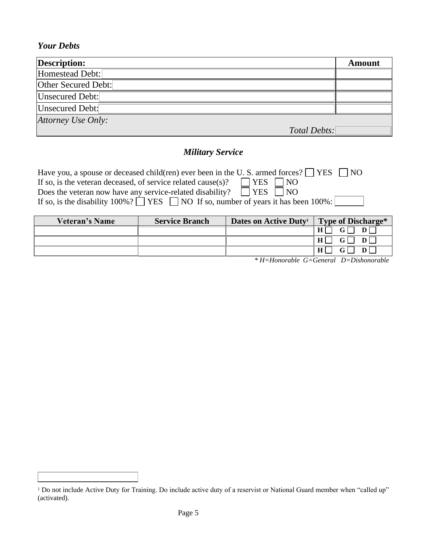#### *Your Debts*

| <b>Description:</b>    |              | Amount |
|------------------------|--------------|--------|
| Homestead Debt:        |              |        |
| Other Secured Debt:    |              |        |
| Unsecured Debt:        |              |        |
| <b>Unsecured Debt:</b> |              |        |
| Attorney Use Only:     |              |        |
|                        | Total Debts: |        |

#### *Military Service*

| Have you, a spouse or deceased child(ren) ever been in the U.S. armed forces? $\Box$ YES     | 1 NQ |
|----------------------------------------------------------------------------------------------|------|
| $\Box$ YES $\Box$ NO<br>If so, is the veteran deceased, of service related cause(s)?         |      |
| Does the veteran now have any service-related disability? $\Box$ YES $\Box$ NO               |      |
| If so, is the disability 100%? $\Box$ YES $\Box$ NO If so, number of years it has been 100%: |      |

| <b>Veteran's Name</b> | <b>Service Branch</b> | Dates on Active Duty <sup>1</sup> | <b>Type of Discharge*</b>            |
|-----------------------|-----------------------|-----------------------------------|--------------------------------------|
|                       |                       |                                   | GΓ<br>H                              |
|                       |                       |                                   | $\mathbf{G}$ $\Box$<br>H<br>$D \Box$ |
|                       |                       |                                   | G                                    |

*\* H=Honorable G=General D=Dishonorable*

<sup>&</sup>lt;sup>1</sup> Do not include Active Duty for Training. Do include active duty of a reservist or National Guard member when "called up" (activated).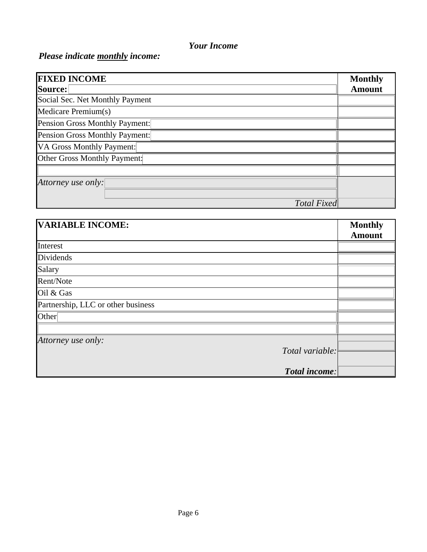#### *Your Income*

## *Please indicate monthly income:*

| <b>FIXED INCOME</b>             | <b>Monthly</b> |
|---------------------------------|----------------|
| Source:                         | <b>Amount</b>  |
| Social Sec. Net Monthly Payment |                |
| Medicare Premium(s)             |                |
| Pension Gross Monthly Payment:  |                |
| Pension Gross Monthly Payment:  |                |
| VA Gross Monthly Payment:       |                |
| Other Gross Monthly Payment:    |                |
|                                 |                |
| Attorney use only:              |                |
|                                 |                |
| <b>Total Fixed</b>              |                |

| <b>VARIABLE INCOME:</b>            | <b>Monthly</b> |
|------------------------------------|----------------|
|                                    | <b>Amount</b>  |
| Interest                           |                |
| Dividends                          |                |
| Salary                             |                |
| Rent/Note                          |                |
| Oil & Gas                          |                |
| Partnership, LLC or other business |                |
| Other <sup>[</sup>                 |                |
|                                    |                |
| Attorney use only:                 |                |
| Total variable:                    |                |
|                                    |                |
| Total income:                      |                |